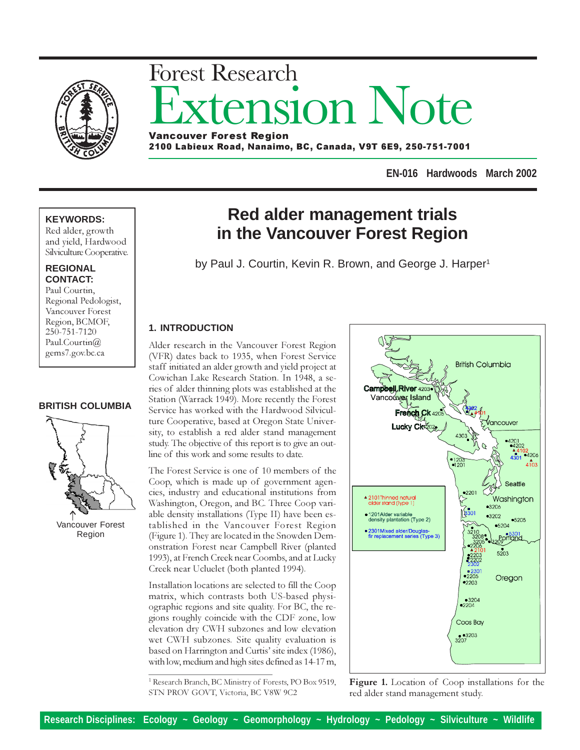

# **ISION Note** Forest Research Vancouver Forest Region

2100 Labieux Road, Nanaimo, BC, Canada, V9T 6E9, 250-751-7001

**EN-016 Hardwoods March 2002**

# **KEYWORDS:**

Red alder, growth and yield, Hardwood Silviculture Cooperative.

#### **REGIONAL CONTACT:**

Paul Courtin, Regional Pedologist, Vancouver Forest Region, BCMOF, 250-751-7120 Paul.Courtin@ gems7.gov.bc.ca

# **BRITISH COLUMBIA**



Vancouver Forest Region

# **Red alder management trials in the Vancouver Forest Region**

by Paul J. Courtin, Kevin R. Brown, and George J. Harper<sup>1</sup>

# **1. INTRODUCTION**

Alder research in the Vancouver Forest Region (VFR) dates back to 1935, when Forest Service staff initiated an alder growth and yield project at Cowichan Lake Research Station. In 1948, a series of alder thinning plots was established at the Station (Warrack 1949). More recently the Forest Service has worked with the Hardwood Silviculture Cooperative, based at Oregon State University, to establish a red alder stand management study. The objective of this report is to give an outline of this work and some results to date.

The Forest Service is one of 10 members of the Coop, which is made up of government agencies, industry and educational institutions from Washington, Oregon, and BC. Three Coop variable density installations (Type II) have been established in the Vancouver Forest Region (Figure 1). They are located in the Snowden Demonstration Forest near Campbell River (planted 1993), at French Creek near Coombs, and at Lucky Creek near Ucluelet (both planted 1994).

Installation locations are selected to fill the Coop matrix, which contrasts both US-based physiographic regions and site quality. For BC, the regions roughly coincide with the CDF zone, low elevation dry CWH subzones and low elevation wet CWH subzones. Site quality evaluation is based on Harrington and Curtis' site index (1986), with low, medium and high sites defined as 14-17 m,

*1* Research Branch, BC Ministry of Forests, PO Box 9519, STN PROV GOVT, Victoria, BC V8W 9C2



Figure 1. Location of Coop installations for the red alder stand management study.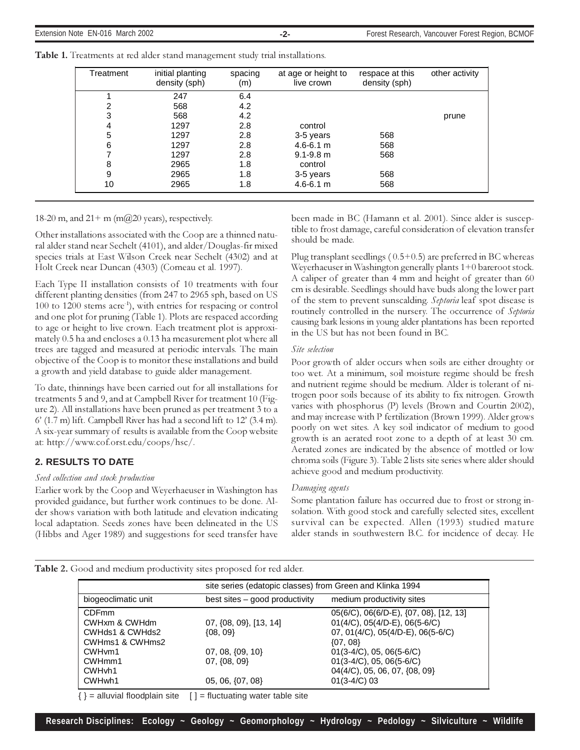| Treatment | initial planting<br>density (sph) | spacing<br>(m) | at age or height to<br>live crown | respace at this<br>density (sph) | other activity |
|-----------|-----------------------------------|----------------|-----------------------------------|----------------------------------|----------------|
|           | 247                               | 6.4            |                                   |                                  |                |
| 2         | 568                               | 4.2            |                                   |                                  |                |
| 3         | 568                               | 4.2            |                                   |                                  | prune          |
| 4         | 1297                              | 2.8            | control                           |                                  |                |
| 5         | 1297                              | 2.8            | 3-5 years                         | 568                              |                |
| 6         | 1297                              | 2.8            | $4.6 - 6.1$ m                     | 568                              |                |
|           | 1297                              | 2.8            | $9.1 - 9.8$ m                     | 568                              |                |
| 8         | 2965                              | 1.8            | control                           |                                  |                |
| 9         | 2965                              | 1.8            | 3-5 years                         | 568                              |                |
| 10        | 2965                              | 1.8            | $4.6 - 6.1$ m                     | 568                              |                |

Table 1. Treatments at red alder stand management study trial installations.

18-20 m, and  $21+$  m (m@20 years), respectively.

Other installations associated with the Coop are a thinned natural alder stand near Sechelt (4101), and alder/Douglas-fir mixed species trials at East Wilson Creek near Sechelt (4302) and at Holt Creek near Duncan (4303) (Comeau et al. 1997).

Each Type II installation consists of 10 treatments with four different planting densities (from 247 to 2965 sph, based on US 100 to 1200 stems acre<sup>-1</sup>), with entries for respacing or control and one plot for pruning (Table 1). Plots are respaced according to age or height to live crown. Each treatment plot is approximately 0.5 ha and encloses a 0.13 ha measurement plot where all trees are tagged and measured at periodic intervals. The main objective of the Coop is to monitor these installations and build a growth and yield database to guide alder management.

To date, thinnings have been carried out for all installations for treatments 5 and 9, and at Campbell River for treatment 10 (Figure 2). All installations have been pruned as per treatment 3 to a 6' (1.7 m) lift. Campbell River has had a second lift to 12' (3.4 m). A six-year summary of results is available from the Coop website at: http://www.cof.orst.edu/coops/hsc/.

# **2. RESULTS TO DATE**

#### Seed collection and stock production

Earlier work by the Coop and Weyerhaeuser in Washington has provided guidance, but further work continues to be done. Alder shows variation with both latitude and elevation indicating local adaptation. Seeds zones have been delineated in the US (Hibbs and Ager 1989) and suggestions for seed transfer have been made in BC (Hamann et al. 2001). Since alder is susceptible to frost damage, careful consideration of elevation transfer should be made.

Plug transplant seedlings  $(0.5+0.5)$  are preferred in BC whereas Weyerhaeuser in Washington generally plants 1+0 bareroot stock. A caliper of greater than 4 mm and height of greater than 60 cm is desirable. Seedlings should have buds along the lower part of the stem to prevent sunscalding. Septoria leaf spot disease is routinely controlled in the nursery. The occurrence of Septoria causing bark lesions in young alder plantations has been reported in the US but has not been found in BC.

#### Site selection

Poor growth of alder occurs when soils are either droughty or too wet. At a minimum, soil moisture regime should be fresh and nutrient regime should be medium. Alder is tolerant of nitrogen poor soils because of its ability to fix nitrogen. Growth varies with phosphorus (P) levels (Brown and Courtin 2002), and may increase with P fertilization (Brown 1999). Alder grows poorly on wet sites. A key soil indicator of medium to good growth is an aerated root zone to a depth of at least 30 cm. Aerated zones are indicated by the absence of mottled or low chroma soils (Figure 3). Table 2 lists site series where alder should achieve good and medium productivity.

#### Damaging agents

Some plantation failure has occurred due to frost or strong insolation. With good stock and carefully selected sites, excellent survival can be expected. Allen (1993) studied mature alder stands in southwestern B.C. for incidence of decay. He

|                                   | site series (edatopic classes) from Green and Klinka 1994 |                                        |  |  |
|-----------------------------------|-----------------------------------------------------------|----------------------------------------|--|--|
| biogeoclimatic unit               | best sites – good productivity                            | medium productivity sites              |  |  |
| CDF <sub>mm</sub>                 |                                                           | 05(6/C), 06(6/D-E), {07, 08}, [12, 13] |  |  |
| CWHxm & CWHdm                     | $07, \{08, 09\}, [13, 14]$                                | $01(4/C)$ , $05(4/D-E)$ , $06(5-6/C)$  |  |  |
| CWHds1 & CWHds2                   | $\{08, 09\}$                                              | 07, 01(4/C), 05(4/D-E), 06(5-6/C)      |  |  |
| CWHms1 & CWHms2                   |                                                           | $\{07, 08\}$                           |  |  |
| CWH <sub>vm1</sub>                | 07, 08, 09, 10                                            | $01(3-4/C)$ , 05, 06(5-6/C)            |  |  |
| CWH <sub>mm1</sub>                | $07, \{08, 09\}$                                          | $01(3-4/C)$ , 05, 06(5-6/C)            |  |  |
| CWH <sub>vh1</sub>                |                                                           | 04(4/C), 05, 06, 07, {08, 09}          |  |  |
| CWHwh1                            | 05, 06, {07, 08}                                          | $01(3-4/C)$ 03                         |  |  |
| $\{\}$ = alluvial floodplain site | $\lceil$ = fluctuating water table site                   |                                        |  |  |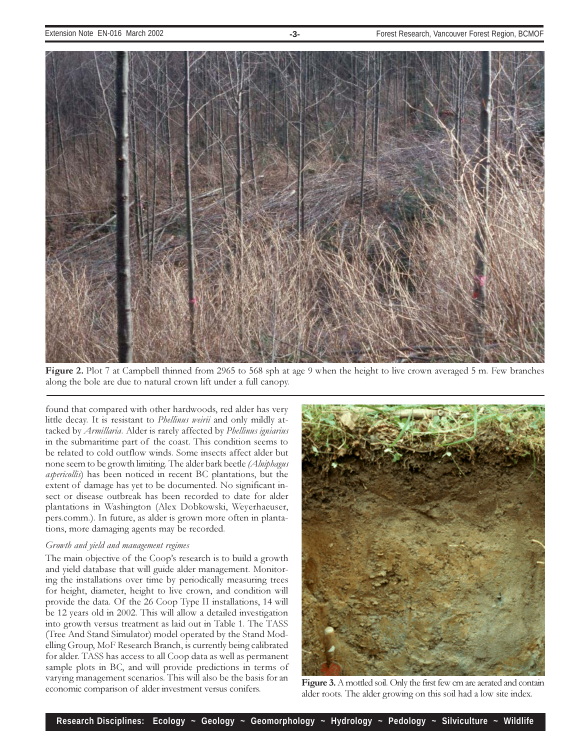

Figure 2. Plot 7 at Campbell thinned from 2965 to 568 sph at age 9 when the height to live crown averaged 5 m. Few branches along the bole are due to natural crown lift under a full canopy.

found that compared with other hardwoods, red alder has very little decay. It is resistant to Phellinus weirii and only mildly attacked by *Armillaria*. Alder is rarely affected by *Phellinus igniarius* in the submaritime part of the coast. This condition seems to be related to cold outflow winds. Some insects affect alder but none seem to be growth limiting. The alder bark beetle (Alniphagus aspericollis) has been noticed in recent BC plantations, but the extent of damage has yet to be documented. No significant insect or disease outbreak has been recorded to date for alder plantations in Washington (Alex Dobkowski, Weyerhaeuser, pers.comm.). In future, as alder is grown more often in plantations, more damaging agents may be recorded.

#### Growth and yield and management regimes

The main objective of the Coop's research is to build a growth and yield database that will guide alder management. Monitoring the installations over time by periodically measuring trees for height, diameter, height to live crown, and condition will provide the data. Of the 26 Coop Type II installations, 14 will be 12 years old in 2002. This will allow a detailed investigation into growth versus treatment as laid out in Table 1. The TASS (Tree And Stand Simulator) model operated by the Stand Modelling Group, MoF Research Branch, is currently being calibrated for alder. TASS has access to all Coop data as well as permanent sample plots in BC, and will provide predictions in terms of varying management scenarios. This will also be the basis for an economic comparison of alder investment versus conifers.



Figure 3. A mottled soil. Only the first few cm are aerated and contain alder roots. The alder growing on this soil had a low site index.